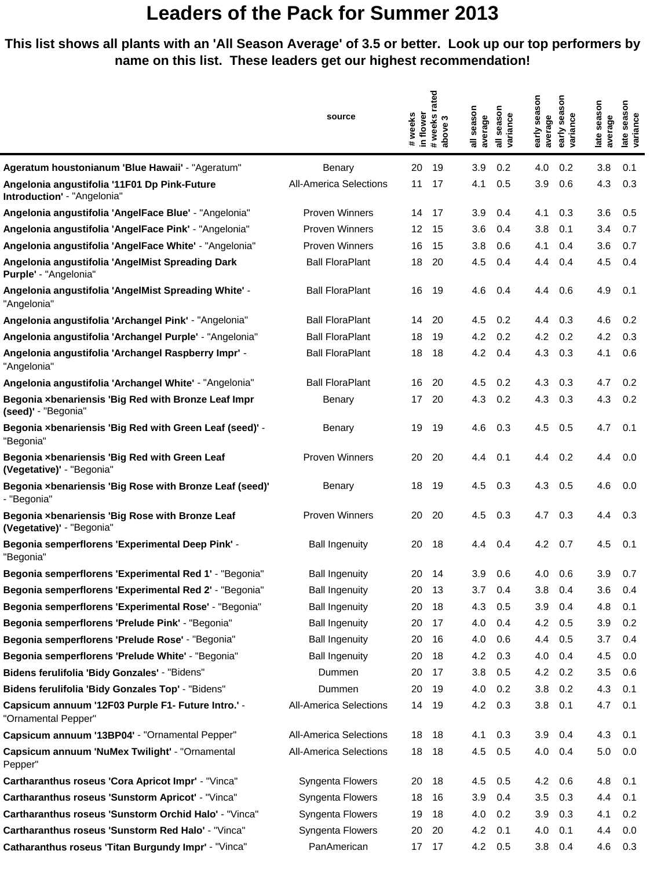#### **This list shows all plants with an 'All Season Average' of 3.5 or better. Look up our top performers by name on this list. These leaders get our highest recommendation!**

|                                                                              |                               | rated               |                               |                   |                    |                         |                 |                   | SON            |  |  |
|------------------------------------------------------------------------------|-------------------------------|---------------------|-------------------------------|-------------------|--------------------|-------------------------|-----------------|-------------------|----------------|--|--|
|                                                                              | source                        | in flower<br>#weeks | weeks<br>S                    | season<br>average | season<br>variance | early season<br>average | sea<br>variance | season<br>average | season<br>ance |  |  |
|                                                                              |                               |                     | above<br>$\ddot{\phantom{a}}$ |                   | 등                  |                         | early           | late              | late<br>yari   |  |  |
| Ageratum houstonianum 'Blue Hawaii' - "Ageratum"                             | Benary                        | 20                  | 19                            | 3.9               | 0.2                | 4.0                     | 0.2             | 3.8               | 0.1            |  |  |
| Angelonia angustifolia '11F01 Dp Pink-Future<br>Introduction' - "Angelonia"  | <b>All-America Selections</b> | 11                  | 17                            | 4.1               | 0.5                | 3.9                     | 0.6             | 4.3               | 0.3            |  |  |
| Angelonia angustifolia 'AngelFace Blue' - "Angelonia"                        | <b>Proven Winners</b>         | 14                  | 17                            | 3.9               | 0.4                | 4.1                     | 0.3             | 3.6               | 0.5            |  |  |
| Angelonia angustifolia 'AngelFace Pink' - "Angelonia"                        | Proven Winners                | 12                  | 15                            | 3.6               | 0.4                | 3.8                     | 0.1             | 3.4               | 0.7            |  |  |
| Angelonia angustifolia 'AngelFace White' - "Angelonia"                       | Proven Winners                | 16                  | 15                            | 3.8               | 0.6                | 4.1                     | 0.4             | 3.6               | 0.7            |  |  |
| Angelonia angustifolia 'AngelMist Spreading Dark<br>Purple' - "Angelonia"    | <b>Ball FloraPlant</b>        | 18                  | 20                            | 4.5               | 0.4                | 4.4                     | 0.4             | 4.5               | 0.4            |  |  |
| Angelonia angustifolia 'AngelMist Spreading White' -<br>"Angelonia"          | <b>Ball FloraPlant</b>        | 16                  | 19                            | 4.6               | 0.4                | 4.4                     | 0.6             | 4.9               | 0.1            |  |  |
| Angelonia angustifolia 'Archangel Pink' - "Angelonia"                        | <b>Ball FloraPlant</b>        | 14                  | 20                            | 4.5               | 0.2                | 4.4                     | 0.3             | 4.6               | 0.2            |  |  |
| Angelonia angustifolia 'Archangel Purple' - "Angelonia"                      | <b>Ball FloraPlant</b>        | 18                  | 19                            | 4.2               | 0.2                | 4.2                     | 0.2             | 4.2               | 0.3            |  |  |
| Angelonia angustifolia 'Archangel Raspberry Impr' -<br>"Angelonia"           | <b>Ball FloraPlant</b>        | 18                  | 18                            | 4.2               | 0.4                | 4.3                     | 0.3             | 4.1               | 0.6            |  |  |
| Angelonia angustifolia 'Archangel White' - "Angelonia"                       | <b>Ball FloraPlant</b>        | 16                  | 20                            | 4.5               | 0.2                | 4.3                     | 0.3             | 4.7               | 0.2            |  |  |
| Begonia xbenariensis 'Big Red with Bronze Leaf Impr<br>(seed)' - "Begonia"   | Benary                        | 17                  | 20                            | 4.3               | 0.2                | 4.3                     | 0.3             | 4.3               | 0.2            |  |  |
| Begonia xbenariensis 'Big Red with Green Leaf (seed)' -<br>"Begonia"         | Benary                        | 19                  | 19                            | 4.6               | 0.3                | 4.5                     | 0.5             | 4.7               | 0.1            |  |  |
| Begonia xbenariensis 'Big Red with Green Leaf<br>(Vegetative)' - "Begonia"   | <b>Proven Winners</b>         | 20                  | 20                            | 4.4               | 0.1                | 4.4                     | 0.2             | 4.4               | 0.0            |  |  |
| Begonia xbenariensis 'Big Rose with Bronze Leaf (seed)'<br>- "Begonia"       | Benary                        | 18                  | 19                            | 4.5               | 0.3                | 4.3                     | 0.5             | 4.6               | 0.0            |  |  |
| Begonia xbenariensis 'Big Rose with Bronze Leaf<br>(Vegetative)' - "Begonia" | Proven Winners                | 20                  | 20                            | 4.5               | 0.3                | 4.7                     | 0.3             | 4.4               | 0.3            |  |  |
| Begonia semperflorens 'Experimental Deep Pink' -<br>"Begonia"                | <b>Ball Ingenuity</b>         | 20                  | 18                            | 4.4               | 0.4                | 4.2                     | 0.7             | 4.5               | 0.1            |  |  |
| Begonia semperflorens 'Experimental Red 1' - "Begonia"                       | <b>Ball Ingenuity</b>         | 20                  | -14                           | 3.9               | 0.6                | 4.0                     | 0.6             | 3.9               | 0.7            |  |  |
| Begonia semperflorens 'Experimental Red 2' - "Begonia"                       | <b>Ball Ingenuity</b>         | 20                  | 13                            | 3.7               | 0.4                | 3.8                     | 0.4             | 3.6               | 0.4            |  |  |
| Begonia semperflorens 'Experimental Rose' - "Begonia"                        | <b>Ball Ingenuity</b>         | 20                  | 18                            | 4.3               | 0.5                | 3.9                     | 0.4             | 4.8               | 0.1            |  |  |
| Begonia semperflorens 'Prelude Pink' - "Begonia"                             | <b>Ball Ingenuity</b>         | 20                  | 17                            | 4.0               | 0.4                | 4.2                     | 0.5             | 3.9               | 0.2            |  |  |
| Begonia semperflorens 'Prelude Rose' - "Begonia"                             | <b>Ball Ingenuity</b>         | 20                  | 16                            | 4.0               | 0.6                | 4.4                     | 0.5             | 3.7               | 0.4            |  |  |
| Begonia semperflorens 'Prelude White' - "Begonia"                            | <b>Ball Ingenuity</b>         | 20                  | 18                            | 4.2               | 0.3                | 4.0                     | 0.4             | 4.5               | 0.0            |  |  |
| Bidens ferulifolia 'Bidy Gonzales' - "Bidens"                                | Dummen                        | 20                  | 17                            | 3.8               | 0.5                | 4.2                     | 0.2             | 3.5               | 0.6            |  |  |
| Bidens ferulifolia 'Bidy Gonzales Top' - "Bidens"                            | Dummen                        | 20                  | 19                            | 4.0               | 0.2                | 3.8                     | 0.2             | 4.3               | 0.1            |  |  |
| Capsicum annuum '12F03 Purple F1- Future Intro.' -<br>"Ornamental Pepper"    | <b>All-America Selections</b> | 14                  | - 19                          | 4.2               | 0.3                | 3.8                     | 0.1             | 4.7               | 0.1            |  |  |
| Capsicum annuum '13BP04' - "Ornamental Pepper"                               | <b>All-America Selections</b> | 18                  | 18                            | 4.1               | 0.3                | 3.9                     | 0.4             | 4.3               | 0.1            |  |  |
| Capsicum annuum 'NuMex Twilight' - "Ornamental<br>Pepper"                    | <b>All-America Selections</b> | 18                  | - 18                          | 4.5               | 0.5                | 4.0                     | 0.4             | $5.0\,$           | 0.0            |  |  |
| Cartharanthus roseus 'Cora Apricot Impr' - "Vinca"                           | Syngenta Flowers              | 20                  | 18                            | 4.5               | 0.5                | 4.2                     | 0.6             | 4.8               | 0.1            |  |  |
| Cartharanthus roseus 'Sunstorm Apricot' - "Vinca"                            | Syngenta Flowers              | 18                  | 16                            | 3.9               | 0.4                | 3.5                     | 0.3             | 4.4               | 0.1            |  |  |
| Cartharanthus roseus 'Sunstorm Orchid Halo' - "Vinca"                        | Syngenta Flowers              | 19                  | 18                            | 4.0               | 0.2                | 3.9                     | 0.3             | 4.1               | 0.2            |  |  |
| Cartharanthus roseus 'Sunstorm Red Halo' - "Vinca"                           | Syngenta Flowers              | 20                  | 20                            | 4.2               | 0.1                | 4.0                     | 0.1             | 4.4               | 0.0            |  |  |
| Catharanthus roseus 'Titan Burgundy Impr' - "Vinca"                          | PanAmerican                   | 17 17               |                               | 4.2               | 0.5                | 3.8                     | 0.4             | 4.6               | 0.3            |  |  |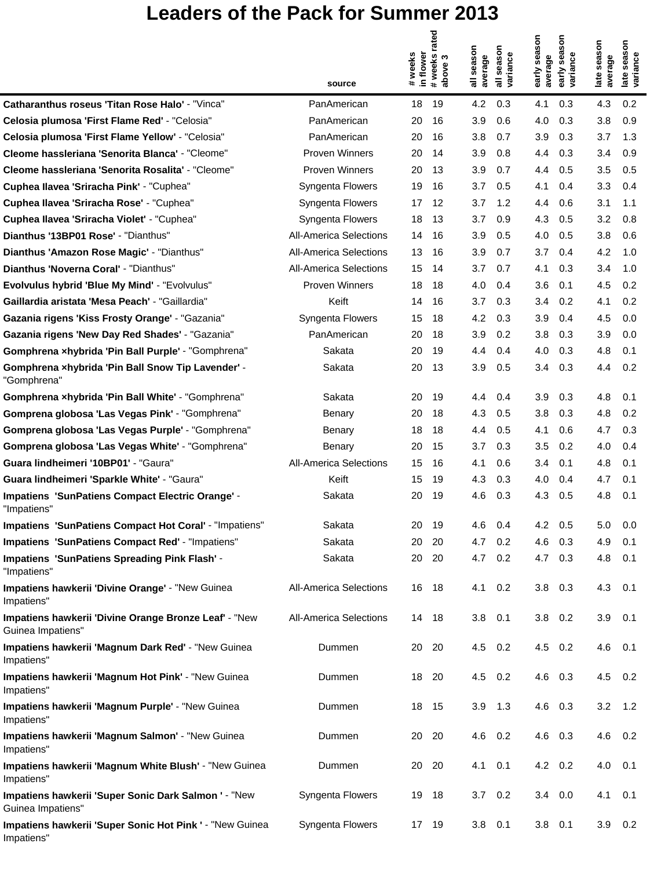|                                                                            | source                        | in flower<br>#weeks | rated<br>weeks<br>ო<br>above<br>$\pm$ | season<br>average | season<br>variance<br>゠ | early season<br>average | season<br>variance<br>early | season<br>average<br>late | season<br>variance<br>late |
|----------------------------------------------------------------------------|-------------------------------|---------------------|---------------------------------------|-------------------|-------------------------|-------------------------|-----------------------------|---------------------------|----------------------------|
| Catharanthus roseus 'Titan Rose Halo' - "Vinca"                            | PanAmerican                   | 18                  | 19                                    | 4.2               | 0.3                     | 4.1                     | 0.3                         | 4.3                       | 0.2                        |
| Celosia plumosa 'First Flame Red' - "Celosia"                              | PanAmerican                   | 20                  | 16                                    | 3.9               | 0.6                     | 4.0                     | 0.3                         | 3.8                       | 0.9                        |
| Celosia plumosa 'First Flame Yellow' - "Celosia"                           | PanAmerican                   | 20                  | 16                                    | 3.8               | 0.7                     | 3.9                     | 0.3                         | 3.7                       | 1.3                        |
| Cleome hassleriana 'Senorita Blanca' - "Cleome"                            | <b>Proven Winners</b>         | 20                  | 14                                    | 3.9               | 0.8                     | 4.4                     | 0.3                         | 3.4                       | 0.9                        |
| Cleome hassleriana 'Senorita Rosalita' - "Cleome"                          | <b>Proven Winners</b>         | 20                  | 13                                    | 3.9               | 0.7                     | 4.4                     | 0.5                         | 3.5                       | 0.5                        |
| Cuphea Ilavea 'Sriracha Pink' - "Cuphea"                                   | Syngenta Flowers              | 19                  | 16                                    | 3.7               | 0.5                     | 4.1                     | 0.4                         | 3.3                       | 0.4                        |
| Cuphea Ilavea 'Sriracha Rose' - "Cuphea"                                   | Syngenta Flowers              | 17                  | 12                                    | 3.7               | 1.2                     | 4.4                     | 0.6                         | 3.1                       | 1.1                        |
| Cuphea Ilavea 'Sriracha Violet' - "Cuphea"                                 | Syngenta Flowers              | 18                  | 13                                    | 3.7               | 0.9                     | 4.3                     | 0.5                         | 3.2                       | 0.8                        |
| Dianthus '13BP01 Rose' - "Dianthus"                                        | <b>All-America Selections</b> | 14                  | 16                                    | 3.9               | 0.5                     | 4.0                     | 0.5                         | 3.8                       | 0.6                        |
| Dianthus 'Amazon Rose Magic' - "Dianthus"                                  | <b>All-America Selections</b> | 13                  | 16                                    | 3.9               | 0.7                     | 3.7                     | 0.4                         | 4.2                       | 1.0                        |
| Dianthus 'Noverna Coral' - "Dianthus"                                      | <b>All-America Selections</b> | 15                  | 14                                    | 3.7               | 0.7                     | 4.1                     | 0.3                         | 3.4                       | 1.0                        |
| <b>Evolvulus hybrid 'Blue My Mind' - "Evolvulus"</b>                       | <b>Proven Winners</b>         | 18                  | 18                                    | 4.0               | 0.4                     | 3.6                     | 0.1                         | 4.5                       | 0.2                        |
| Gaillardia aristata 'Mesa Peach' - "Gaillardia"                            | Keift                         | 14                  | 16                                    | 3.7               | 0.3                     | 3.4                     | 0.2                         | 4.1                       | 0.2                        |
| Gazania rigens 'Kiss Frosty Orange' - "Gazania"                            | Syngenta Flowers              | 15                  | 18                                    | 4.2               | 0.3                     | 3.9                     | 0.4                         | 4.5                       | 0.0                        |
| Gazania rigens 'New Day Red Shades' - "Gazania"                            | PanAmerican                   | 20                  | 18                                    | 3.9               | 0.2                     | 3.8                     | 0.3                         | 3.9                       | 0.0                        |
| Gomphrena xhybrida 'Pin Ball Purple' - "Gomphrena"                         | Sakata                        | 20                  | 19                                    | 4.4               | 0.4                     | 4.0                     | 0.3                         | 4.8                       | 0.1                        |
| Gomphrena xhybrida 'Pin Ball Snow Tip Lavender' -<br>"Gomphrena"           | Sakata                        | 20                  | 13                                    | 3.9               | 0.5                     | 3.4                     | 0.3                         | 4.4                       | 0.2                        |
| Gomphrena xhybrida 'Pin Ball White' - "Gomphrena"                          | Sakata                        | 20                  | 19                                    | 4.4               | 0.4                     | 3.9                     | 0.3                         | 4.8                       | 0.1                        |
| Gomprena globosa 'Las Vegas Pink' - "Gomphrena"                            | Benary                        | 20                  | 18                                    | 4.3               | 0.5                     | 3.8                     | 0.3                         | 4.8                       | 0.2                        |
| Gomprena globosa 'Las Vegas Purple' - "Gomphrena"                          | Benary                        | 18                  | 18                                    | 4.4               | 0.5                     | 4.1                     | 0.6                         | 4.7                       | 0.3                        |
| Gomprena globosa 'Las Vegas White' - "Gomphrena"                           | Benary                        | 20                  | 15                                    | 3.7               | 0.3                     | 3.5                     | 0.2                         | 4.0                       | 0.4                        |
| Guara lindheimeri '10BP01' - "Gaura"                                       | <b>All-America Selections</b> | 15                  | 16                                    | 4.1               | 0.6                     | 3.4                     | 0.1                         | 4.8                       | 0.1                        |
| Guara lindheimeri 'Sparkle White' - "Gaura"                                | Keift                         | 15                  | 19                                    | 4.3               | 0.3                     | 4.0                     | 0.4                         | 4.7                       | 0.1                        |
| Impatiens 'SunPatiens Compact Electric Orange' -<br>"Impatiens"            | Sakata                        | 20                  | 19                                    | 4.6               | 0.3                     | 4.3                     | 0.5                         | 4.8                       | 0.1                        |
| Impatiens 'SunPatiens Compact Hot Coral' - "Impatiens"                     | Sakata                        | 20                  | 19                                    | 4.6               | 0.4                     | 4.2                     | 0.5                         | 5.0                       | 0.0                        |
| Impatiens 'SunPatiens Compact Red' - "Impatiens"                           | Sakata                        | 20                  | 20                                    | 4.7               | 0.2                     | 4.6                     | 0.3                         | 4.9                       | 0.1                        |
| <b>Impatiens 'SunPatiens Spreading Pink Flash' -</b><br>"Impatiens"        | Sakata                        | 20                  | 20                                    | 4.7               | 0.2                     | 4.7                     | 0.3                         | 4.8                       | 0.1                        |
| Impatiens hawkerii 'Divine Orange' - "New Guinea<br>Impatiens"             | <b>All-America Selections</b> | 16 18               |                                       | 4.1               | 0.2                     | 3.8                     | 0.3                         | 4.3                       | 0.1                        |
| Impatiens hawkerii 'Divine Orange Bronze Leaf' - "New<br>Guinea Impatiens" | <b>All-America Selections</b> | 14                  | 18                                    | 3.8               | 0.1                     | 3.8                     | 0.2                         | 3.9                       | 0.1                        |
| Impatiens hawkerii 'Magnum Dark Red' - "New Guinea<br>Impatiens"           | Dummen                        | 20                  | - 20                                  | 4.5               | 0.2                     | 4.5                     | 0.2                         | 4.6                       | 0.1                        |
| Impatiens hawkerii 'Magnum Hot Pink' - "New Guinea<br>Impatiens"           | Dummen                        | 18                  | 20                                    | 4.5               | 0.2                     | 4.6                     | 0.3                         | 4.5                       | 0.2                        |
| Impatiens hawkerii 'Magnum Purple' - "New Guinea<br>Impatiens"             | Dummen                        | 18                  | 15                                    | 3.9               | 1.3                     | 4.6                     | 0.3                         | 3.2                       | 1.2                        |
| Impatiens hawkerii 'Magnum Salmon' - "New Guinea<br>Impatiens"             | Dummen                        | 20                  | 20                                    | 4.6               | 0.2                     | 4.6                     | 0.3                         | 4.6                       | 0.2                        |
| Impatiens hawkerii 'Magnum White Blush' - "New Guinea<br>Impatiens"        | Dummen                        | 20                  | - 20                                  | 4.1               | 0.1                     | 4.2 0.2                 |                             | 4.0                       | 0.1                        |
| Impatiens hawkerii 'Super Sonic Dark Salmon ' - "New<br>Guinea Impatiens"  | Syngenta Flowers              | 19                  | 18                                    | 3.7               | 0.2                     | 3.4                     | 0.0                         | 4.1                       | 0.1                        |
| Impatiens hawkerii 'Super Sonic Hot Pink ' - "New Guinea<br>Impatiens"     | Syngenta Flowers              | 17 19               |                                       | 3.8               | 0.1                     | 3.8                     | 0.1                         | 3.9                       | 0.2                        |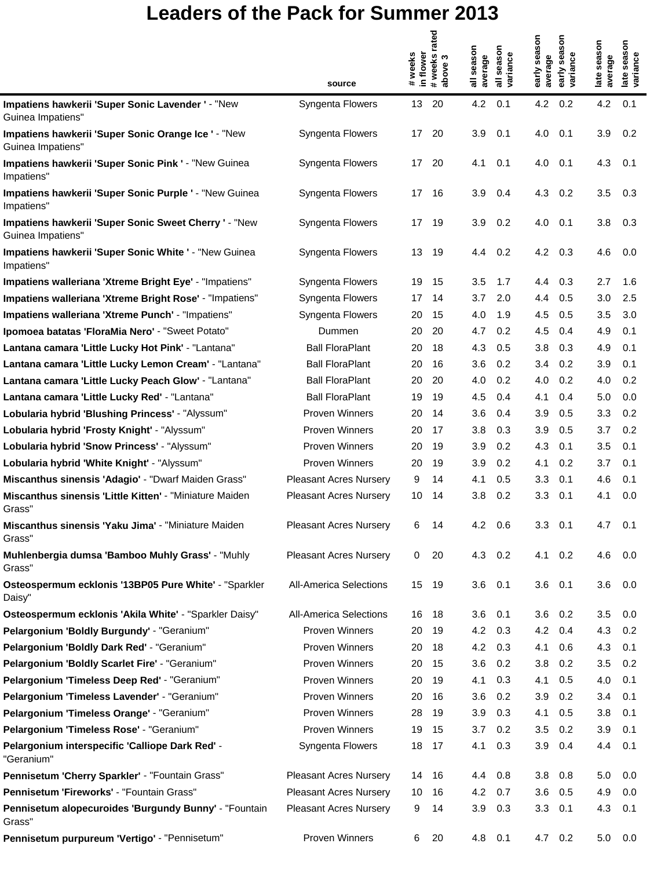|                                                                            |                               | in flower<br>#weeks | rated<br>#weeks | season<br>average | season<br>variance        | early season<br>average | season<br>early sea:<br>variance | late season<br>average | late season<br>variance |
|----------------------------------------------------------------------------|-------------------------------|---------------------|-----------------|-------------------|---------------------------|-------------------------|----------------------------------|------------------------|-------------------------|
|                                                                            | source                        |                     |                 | ᠊᠆                | $\overline{\overline{a}}$ |                         |                                  |                        |                         |
| Impatiens hawkerii 'Super Sonic Lavender ' - "New<br>Guinea Impatiens"     | Syngenta Flowers              | 13 <sup>°</sup>     | 20              | 4.2               | 0.1                       | 4.2                     | 0.2                              | 4.2                    | 0.1                     |
| Impatiens hawkerii 'Super Sonic Orange Ice ' - "New<br>Guinea Impatiens"   | Syngenta Flowers              | 17                  | -20             | 3.9               | 0.1                       | 4.0                     | 0.1                              | 3.9                    | 0.2                     |
| Impatiens hawkerii 'Super Sonic Pink ' - "New Guinea<br>Impatiens"         | Syngenta Flowers              | 17                  | 20              | 4.1               | 0.1                       | 4.0                     | 0.1                              | 4.3                    | 0.1                     |
| Impatiens hawkerii 'Super Sonic Purple ' - "New Guinea<br>Impatiens"       | Syngenta Flowers              | 17                  | 16              | 3.9               | 0.4                       | 4.3                     | 0.2                              | 3.5                    | 0.3                     |
| Impatiens hawkerii 'Super Sonic Sweet Cherry ' - "New<br>Guinea Impatiens" | Syngenta Flowers              | 17                  | 19              | 3.9               | 0.2                       | 4.0                     | 0.1                              | 3.8                    | 0.3                     |
| Impatiens hawkerii 'Super Sonic White ' - "New Guinea<br>Impatiens"        | Syngenta Flowers              |                     | 13 19           | 4.4               | 0.2                       | 4.2                     | - 0.3                            | 4.6                    | 0.0                     |
| Impatiens walleriana 'Xtreme Bright Eye' - "Impatiens"                     | Syngenta Flowers              | 19                  | 15              | 3.5               | 1.7                       | 4.4                     | 0.3                              | 2.7                    | 1.6                     |
| Impatiens walleriana 'Xtreme Bright Rose' - "Impatiens"                    | Syngenta Flowers              | 17                  | 14              | 3.7               | 2.0                       | 4.4                     | 0.5                              | 3.0                    | 2.5                     |
| Impatiens walleriana 'Xtreme Punch' - "Impatiens"                          | Syngenta Flowers              | 20                  | 15              | 4.0               | 1.9                       | 4.5                     | 0.5                              | 3.5                    | 3.0                     |
| Ipomoea batatas 'FloraMia Nero' - "Sweet Potato"                           | Dummen                        | 20                  | 20              | 4.7               | 0.2                       | 4.5                     | 0.4                              | 4.9                    | 0.1                     |
| Lantana camara 'Little Lucky Hot Pink' - "Lantana"                         | <b>Ball FloraPlant</b>        | 20                  | 18              | 4.3               | 0.5                       | 3.8                     | 0.3                              | 4.9                    | 0.1                     |
| Lantana camara 'Little Lucky Lemon Cream' - "Lantana"                      | <b>Ball FloraPlant</b>        | 20                  | 16              | 3.6               | 0.2                       | 3.4                     | 0.2                              | 3.9                    | 0.1                     |
| Lantana camara 'Little Lucky Peach Glow' - "Lantana"                       | <b>Ball FloraPlant</b>        | 20                  | 20              | 4.0               | 0.2                       | 4.0                     | 0.2                              | 4.0                    | $0.2^{\circ}$           |
| Lantana camara 'Little Lucky Red' - "Lantana"                              | <b>Ball FloraPlant</b>        | 19                  | 19              | 4.5               | 0.4                       | 4.1                     | 0.4                              | 5.0                    | 0.0                     |
| Lobularia hybrid 'Blushing Princess' - "Alyssum"                           | <b>Proven Winners</b>         | 20                  | 14              | 3.6               | 0.4                       | 3.9                     | 0.5                              | 3.3                    | 0.2                     |
| Lobularia hybrid 'Frosty Knight' - "Alyssum"                               | <b>Proven Winners</b>         | 20                  | 17              | 3.8               | 0.3                       | 3.9                     | 0.5                              | 3.7                    | 0.2                     |
| Lobularia hybrid 'Snow Princess' - "Alyssum"                               | <b>Proven Winners</b>         | 20                  | 19              | 3.9               | 0.2                       | 4.3                     | 0.1                              | 3.5                    | 0.1                     |
| Lobularia hybrid 'White Knight' - "Alyssum"                                | <b>Proven Winners</b>         | 20                  | 19              | 3.9               | 0.2                       | 4.1                     | 0.2                              | 3.7                    | 0.1                     |
| Miscanthus sinensis 'Adagio' - "Dwarf Maiden Grass"                        | <b>Pleasant Acres Nursery</b> | 9                   | 14              | 4.1               | 0.5                       | 3.3                     | 0.1                              | 4.6                    | 0.1                     |
| Miscanthus sinensis 'Little Kitten' - "Miniature Maiden<br>Grass"          | <b>Pleasant Acres Nursery</b> | 10                  | 14              | 3.8               | 0.2                       | 3.3                     | 0.1                              | 4.1                    | 0.0                     |
| Miscanthus sinensis 'Yaku Jima' - "Miniature Maiden<br>Grass"              | Pleasant Acres Nursery        | ь                   | 14              | 4.2               | 0.6                       | 3.3                     | 0.1                              | 4.7                    | 0.1                     |
| Muhlenbergia dumsa 'Bamboo Muhly Grass' - "Muhly<br>Grass"                 | <b>Pleasant Acres Nursery</b> | 0                   | 20              | 4.3               | 0.2                       | 4.1                     | 0.2                              | 4.6                    | 0.0                     |
| Osteospermum ecklonis '13BP05 Pure White' - "Sparkler<br>Daisy"            | <b>All-America Selections</b> | 15                  | 19              | 3.6               | 0.1                       | 3.6                     | 0.1                              | 3.6                    | 0.0                     |
| Osteospermum ecklonis 'Akila White' - "Sparkler Daisy"                     | <b>All-America Selections</b> | 16                  | 18              | 3.6               | 0.1                       | 3.6                     | 0.2                              | 3.5                    | 0.0                     |
| Pelargonium 'Boldly Burgundy' - "Geranium"                                 | Proven Winners                | 20                  | 19              | 4.2               | 0.3                       | 4.2                     | 0.4                              | 4.3                    | 0.2                     |
| Pelargonium 'Boldly Dark Red' - "Geranium"                                 | <b>Proven Winners</b>         | 20                  | 18              | 4.2               | 0.3                       | 4.1                     | 0.6                              | 4.3                    | 0.1                     |
| Pelargonium 'Boldly Scarlet Fire' - "Geranium"                             | <b>Proven Winners</b>         | 20                  | 15              | 3.6               | 0.2                       | 3.8                     | 0.2                              | 3.5                    | 0.2                     |
| Pelargonium 'Timeless Deep Red' - "Geranium"                               | <b>Proven Winners</b>         | 20                  | 19              | 4.1               | 0.3                       | 4.1                     | 0.5                              | 4.0                    | 0.1                     |
| Pelargonium 'Timeless Lavender' - "Geranium"                               | Proven Winners                | 20                  | 16              | 3.6               | 0.2                       | 3.9                     | 0.2                              | 3.4                    | 0.1                     |
| Pelargonium 'Timeless Orange' - "Geranium"                                 | <b>Proven Winners</b>         | 28                  | 19              | 3.9               | 0.3                       | 4.1                     | 0.5                              | 3.8                    | 0.1                     |
| Pelargonium 'Timeless Rose' - "Geranium"                                   | <b>Proven Winners</b>         | 19                  | 15              | 3.7               | 0.2                       | 3.5                     | 0.2                              | 3.9                    | 0.1                     |
| Pelargonium interspecific 'Calliope Dark Red' -<br>"Geranium"              | Syngenta Flowers              | 18                  | 17              | 4.1               | 0.3                       | 3.9                     | 0.4                              | 4.4                    | 0.1                     |
| Pennisetum 'Cherry Sparkler' - "Fountain Grass"                            | <b>Pleasant Acres Nursery</b> | 14                  | 16              | 4.4               | 0.8                       | 3.8                     | 0.8                              | 5.0                    | 0.0                     |
| Pennisetum 'Fireworks' - "Fountain Grass"                                  | <b>Pleasant Acres Nursery</b> | 10                  | 16              | 4.2               | 0.7                       | 3.6                     | 0.5                              | 4.9                    | 0.0                     |
| Pennisetum alopecuroides 'Burgundy Bunny' - "Fountain<br>Grass"            | <b>Pleasant Acres Nursery</b> | 9                   | 14              | 3.9               | 0.3                       | 3.3                     | 0.1                              | 4.3                    | 0.1                     |
| Pennisetum purpureum 'Vertigo' - "Pennisetum"                              | Proven Winners                | 6                   | 20              | 4.8               | 0.1                       | 4.7 0.2                 |                                  | 5.0                    | 0.0                     |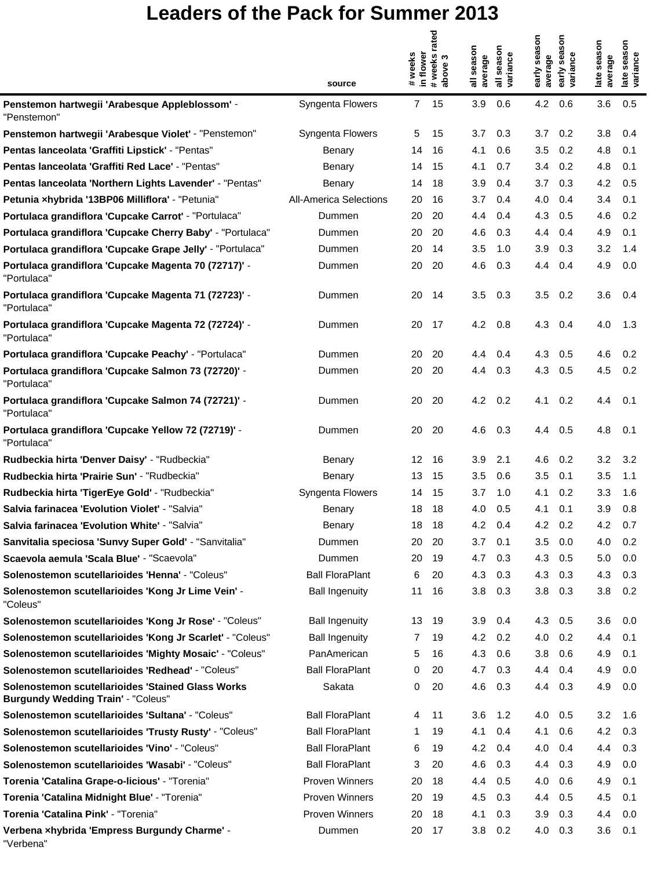|                                                                                                |                               |                     | rated              |                         |                                                 |                         | season                 |                        |                         |
|------------------------------------------------------------------------------------------------|-------------------------------|---------------------|--------------------|-------------------------|-------------------------------------------------|-------------------------|------------------------|------------------------|-------------------------|
|                                                                                                | source                        | in flower<br>#weeks | # weeks<br>above 3 | season<br>average<br>᠊᠆ | season<br>variance<br>$\overline{\overline{a}}$ | early season<br>average | early sea:<br>variance | late season<br>average | late season<br>variance |
| Penstemon hartwegii 'Arabesque Appleblossom' -<br>"Penstemon"                                  | Syngenta Flowers              | $\mathbf{7}$        | 15                 | 3.9                     | 0.6                                             | 4.2                     | 0.6                    | 3.6                    | 0.5                     |
| Penstemon hartwegii 'Arabesque Violet' - "Penstemon"                                           | Syngenta Flowers              | 5                   | 15                 | 3.7                     | 0.3                                             | 3.7                     | 0.2                    | 3.8                    | 0.4                     |
| Pentas lanceolata 'Graffiti Lipstick' - "Pentas"                                               | Benary                        | 14                  | 16                 | 4.1                     | 0.6                                             | 3.5                     | 0.2                    | 4.8                    | 0.1                     |
| Pentas lanceolata 'Graffiti Red Lace' - "Pentas"                                               | Benary                        | 14                  | 15                 | 4.1                     | 0.7                                             | 3.4                     | 0.2                    | 4.8                    | 0.1                     |
| Pentas Ianceolata 'Northern Lights Lavender' - "Pentas"                                        | Benary                        | 14                  | 18                 | 3.9                     | 0.4                                             | 3.7                     | 0.3                    | 4.2                    | 0.5                     |
| Petunia xhybrida '13BP06 Milliflora' - "Petunia"                                               | <b>All-America Selections</b> | 20                  | 16                 | 3.7                     | 0.4                                             | 4.0                     | 0.4                    | 3.4                    | 0.1                     |
| Portulaca grandiflora 'Cupcake Carrot' - "Portulaca"                                           | Dummen                        | 20                  | 20                 | 4.4                     | 0.4                                             | 4.3                     | 0.5                    | 4.6                    | 0.2                     |
| Portulaca grandiflora 'Cupcake Cherry Baby' - "Portulaca"                                      | Dummen                        | 20                  | 20                 | 4.6                     | 0.3                                             | 4.4                     | 0.4                    | 4.9                    | 0.1                     |
| Portulaca grandiflora 'Cupcake Grape Jelly' - "Portulaca"                                      | Dummen                        | 20                  | 14                 | 3.5                     | 1.0                                             | 3.9                     | 0.3                    | 3.2                    | 1.4                     |
| Portulaca grandiflora 'Cupcake Magenta 70 (72717)' -<br>"Portulaca"                            | Dummen                        | 20                  | 20                 | 4.6                     | 0.3                                             | 4.4                     | 0.4                    | 4.9                    | 0.0                     |
| Portulaca grandiflora 'Cupcake Magenta 71 (72723)' -<br>"Portulaca"                            | Dummen                        | 20                  | 14                 | 3.5                     | 0.3                                             | 3.5                     | 0.2                    | 3.6                    | 0.4                     |
| Portulaca grandiflora 'Cupcake Magenta 72 (72724)' -<br>"Portulaca"                            | Dummen                        | 20                  | 17                 | 4.2                     | 0.8                                             | 4.3                     | 0.4                    | 4.0                    | 1.3                     |
| Portulaca grandiflora 'Cupcake Peachy' - "Portulaca"                                           | Dummen                        | 20                  | 20                 | 4.4                     | 0.4                                             | 4.3                     | 0.5                    | 4.6                    | 0.2                     |
| Portulaca grandiflora 'Cupcake Salmon 73 (72720)' -<br>"Portulaca"                             | Dummen                        | 20                  | 20                 | 4.4                     | 0.3                                             | 4.3                     | 0.5                    | 4.5                    | 0.2                     |
| Portulaca grandiflora 'Cupcake Salmon 74 (72721)' -<br>"Portulaca"                             | Dummen                        | 20                  | 20                 | 4.2                     | 0.2                                             | 4.1                     | 0.2                    | 4.4                    | 0.1                     |
| Portulaca grandiflora 'Cupcake Yellow 72 (72719)' -<br>"Portulaca"                             | Dummen                        | 20                  | 20                 | 4.6                     | 0.3                                             | 4.4                     | 0.5                    | 4.8                    | 0.1                     |
| Rudbeckia hirta 'Denver Daisy' - "Rudbeckia"                                                   | Benary                        | 12                  | 16                 | 3.9                     | 2.1                                             | 4.6                     | 0.2                    | 3.2                    | 3.2                     |
| Rudbeckia hirta 'Prairie Sun' - "Rudbeckia"                                                    | Benary                        | 13                  | 15                 | 3.5                     | 0.6                                             | 3.5                     | 0.1                    | 3.5                    | 1.1                     |
| Rudbeckia hirta 'TigerEye Gold' - "Rudbeckia"                                                  | Syngenta Flowers              | 14                  | 15                 | 3.7                     | 1.0                                             | 4.1                     | 0.2                    | 3.3                    | 1.6                     |
| Salvia farinacea 'Evolution Violet' - "Salvia"                                                 | Benary                        | 18                  | 18                 | 4.0                     | 0.5                                             | 4.1                     | 0.1                    | 3.9                    | 0.8                     |
| Salvia farinacea 'Evolution White' - "Salvia"                                                  | Benary                        | 18                  | 18                 | 4.2                     | 0.4                                             | 4.2                     | 0.2                    | 4.2                    | 0.7                     |
| Sanvitalia speciosa 'Sunvy Super Gold' - "Sanvitalia"                                          | Dummen                        | 20                  | 20                 | 3.7                     | 0.1                                             | 3.5                     | 0.0                    | 4.0                    | 0.2                     |
| Scaevola aemula 'Scala Blue' - "Scaevola"                                                      | Dummen                        | 20                  | 19                 | 4.7                     | 0.3                                             | 4.3                     | 0.5                    | 5.0                    | 0.0                     |
| Solenostemon scutellarioides 'Henna' - "Coleus"                                                | <b>Ball FloraPlant</b>        | 6                   | 20                 | 4.3                     | 0.3                                             | 4.3                     | 0.3                    | 4.3                    | 0.3                     |
| Solenostemon scutellarioides 'Kong Jr Lime Vein' -<br>"Coleus"                                 | <b>Ball Ingenuity</b>         | 11                  | 16                 | 3.8                     | 0.3                                             | 3.8                     | 0.3                    | 3.8                    | 0.2                     |
| Solenostemon scutellarioides 'Kong Jr Rose' - "Coleus"                                         | <b>Ball Ingenuity</b>         | 13                  | 19                 | 3.9                     | 0.4                                             | 4.3                     | 0.5                    | 3.6                    | 0.0                     |
| Solenostemon scutellarioides 'Kong Jr Scarlet' - "Coleus"                                      | <b>Ball Ingenuity</b>         | 7                   | 19                 | 4.2                     | 0.2                                             | 4.0                     | 0.2                    | 4.4                    | 0.1                     |
| Solenostemon scutellarioides 'Mighty Mosaic' - "Coleus"                                        | PanAmerican                   | 5                   | 16                 | 4.3                     | 0.6                                             | 3.8                     | 0.6                    | 4.9                    | 0.1                     |
| Solenostemon scutellarioides 'Redhead' - "Coleus"                                              | <b>Ball FloraPlant</b>        | 0                   | 20                 | 4.7                     | 0.3                                             | 4.4                     | 0.4                    | 4.9                    | 0.0                     |
| Solenostemon scutellarioides 'Stained Glass Works<br><b>Burgundy Wedding Train' - "Coleus"</b> | Sakata                        | 0                   | 20                 | 4.6                     | 0.3                                             | 4.4                     | 0.3                    | 4.9                    | 0.0                     |
| Solenostemon scutellarioides 'Sultana' - "Coleus"                                              | <b>Ball FloraPlant</b>        | 4                   | 11                 | 3.6                     | 1.2                                             | 4.0                     | 0.5                    | 3.2                    | 1.6                     |
| Solenostemon scutellarioides 'Trusty Rusty' - "Coleus"                                         | <b>Ball FloraPlant</b>        | 1                   | 19                 | 4.1                     | 0.4                                             | 4.1                     | 0.6                    | 4.2                    | 0.3                     |
| Solenostemon scutellarioides 'Vino' - "Coleus"                                                 | <b>Ball FloraPlant</b>        | 6                   | 19                 | 4.2                     | 0.4                                             | 4.0                     | 0.4                    | 4.4                    | 0.3                     |
| Solenostemon scutellarioides 'Wasabi' - "Coleus"                                               | <b>Ball FloraPlant</b>        | 3                   | 20                 | 4.6                     | 0.3                                             | 4.4                     | 0.3                    | 4.9                    | 0.0                     |
| Torenia 'Catalina Grape-o-licious' - "Torenia"                                                 | <b>Proven Winners</b>         | 20                  | 18                 | 4.4                     | 0.5                                             | 4.0                     | 0.6                    | 4.9                    | 0.1                     |
| Torenia 'Catalina Midnight Blue' - "Torenia"                                                   | Proven Winners                | 20                  | 19                 | 4.5                     | 0.3                                             | 4.4                     | 0.5                    | 4.5                    | 0.1                     |
| Torenia 'Catalina Pink' - "Torenia"                                                            | Proven Winners                | 20                  | 18                 | 4.1                     | 0.3                                             | 3.9                     | 0.3                    | 4.4                    | 0.0                     |
| Verbena xhybrida 'Empress Burgundy Charme' -<br>"Verbena"                                      | Dummen                        | 20                  | 17                 | 3.8                     | 0.2                                             | 4.0                     | 0.3                    | 3.6                    | 0.1                     |